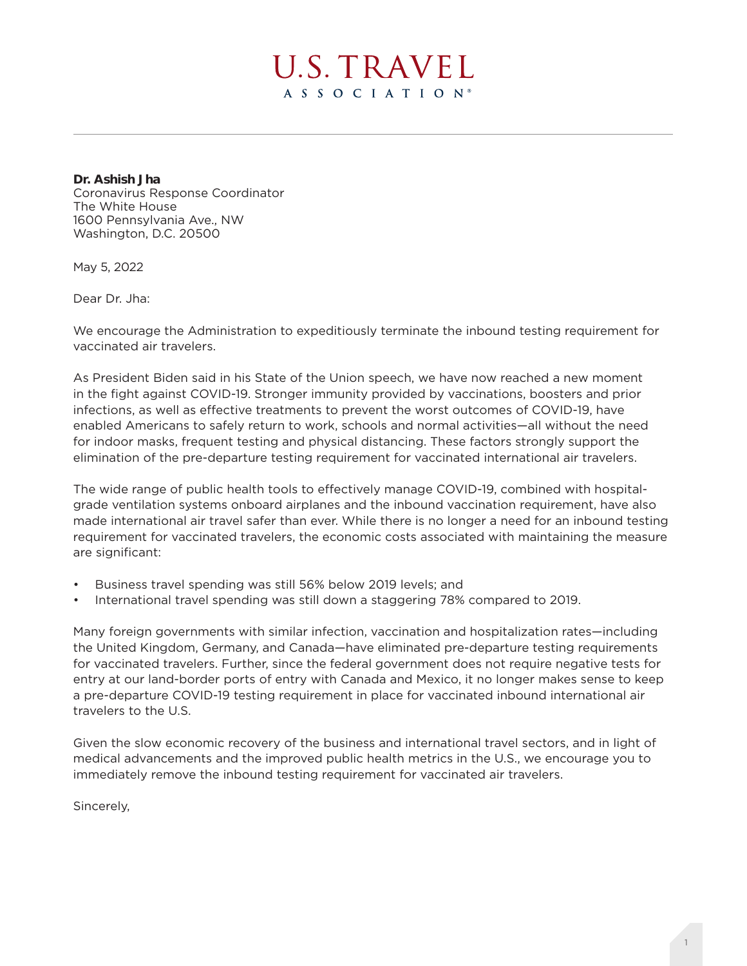

**Dr. Ashish Jha** Coronavirus Response Coordinator The White House 1600 Pennsylvania Ave., NW Washington, D.C. 20500

May 5, 2022

Dear Dr. Jha:

We encourage the Administration to expeditiously terminate the inbound testing requirement for vaccinated air travelers.

As President Biden said in his State of the Union speech, we have now reached a new moment in the fight against COVID-19. Stronger immunity provided by vaccinations, boosters and prior infections, as well as effective treatments to prevent the worst outcomes of COVID-19, have enabled Americans to safely return to work, schools and normal activities—all without the need for indoor masks, frequent testing and physical distancing. These factors strongly support the elimination of the pre-departure testing requirement for vaccinated international air travelers.

The wide range of public health tools to effectively manage COVID-19, combined with hospitalgrade ventilation systems onboard airplanes and the inbound vaccination requirement, have also made international air travel safer than ever. While there is no longer a need for an inbound testing requirement for vaccinated travelers, the economic costs associated with maintaining the measure are significant:

- Business travel spending was still 56% below 2019 levels; and
- International travel spending was still down a staggering 78% compared to 2019.

Many foreign governments with similar infection, vaccination and hospitalization rates—including the United Kingdom, Germany, and Canada—have eliminated pre-departure testing requirements for vaccinated travelers. Further, since the federal government does not require negative tests for entry at our land-border ports of entry with Canada and Mexico, it no longer makes sense to keep a pre-departure COVID-19 testing requirement in place for vaccinated inbound international air travelers to the U.S.

Given the slow economic recovery of the business and international travel sectors, and in light of medical advancements and the improved public health metrics in the U.S., we encourage you to immediately remove the inbound testing requirement for vaccinated air travelers.

Sincerely,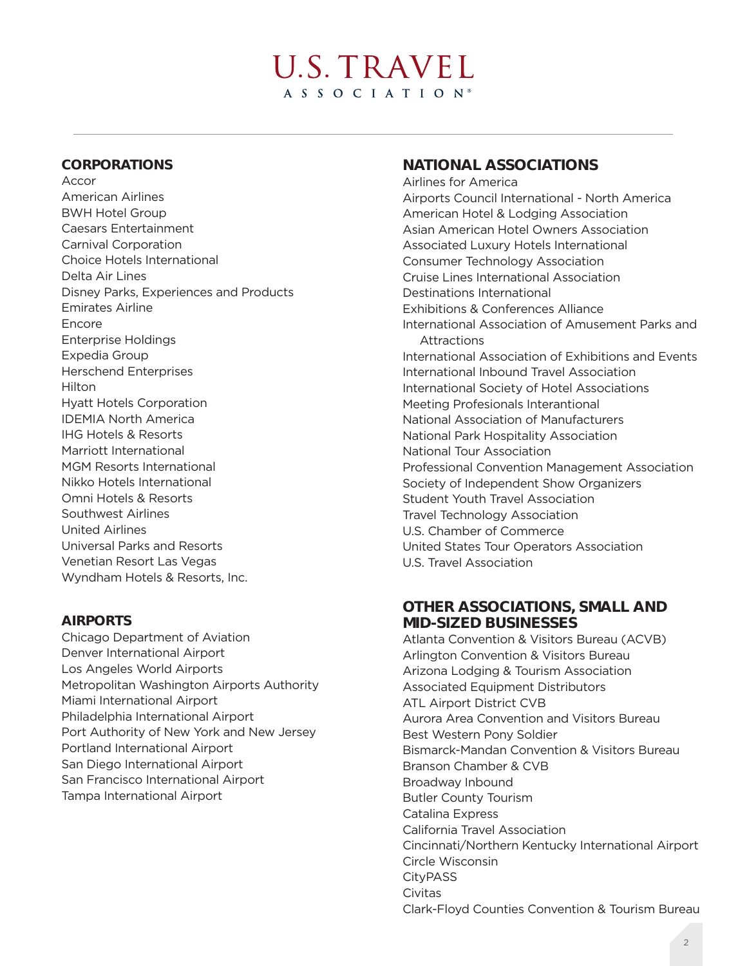# U.S. TRAVEL A S S O C I A T I O N<sup>®</sup>

#### **CORPORATIONS**

Accor American Airlines BWH Hotel Group Caesars Entertainment Carnival Corporation Choice Hotels International Delta Air Lines Disney Parks, Experiences and Products Emirates Airline Encore Enterprise Holdings Expedia Group Herschend Enterprises Hilton Hyatt Hotels Corporation IDEMIA North America IHG Hotels & Resorts Marriott International MGM Resorts International Nikko Hotels International Omni Hotels & Resorts Southwest Airlines United Airlines Universal Parks and Resorts Venetian Resort Las Vegas Wyndham Hotels & Resorts, Inc.

### **AIRPORTS**

Chicago Department of Aviation Denver International Airport Los Angeles World Airports Metropolitan Washington Airports Authority Miami International Airport Philadelphia International Airport Port Authority of New York and New Jersey Portland International Airport San Diego International Airport San Francisco International Airport Tampa International Airport

## **NATIONAL ASSOCIATIONS**

Airlines for America Airports Council International - North America American Hotel & Lodging Association Asian American Hotel Owners Association Associated Luxury Hotels International Consumer Technology Association Cruise Lines International Association Destinations International Exhibitions & Conferences Alliance International Association of Amusement Parks and **Attractions** International Association of Exhibitions and Events International Inbound Travel Association International Society of Hotel Associations Meeting Profesionals Interantional National Association of Manufacturers National Park Hospitality Association National Tour Association Professional Convention Management Association Society of Independent Show Organizers Student Youth Travel Association Travel Technology Association U.S. Chamber of Commerce United States Tour Operators Association U.S. Travel Association

### **OTHER ASSOCIATIONS, SMALL AND MID-SIZED BUSINESSES**

Atlanta Convention & Visitors Bureau (ACVB) Arlington Convention & Visitors Bureau Arizona Lodging & Tourism Association Associated Equipment Distributors ATL Airport District CVB Aurora Area Convention and Visitors Bureau Best Western Pony Soldier Bismarck-Mandan Convention & Visitors Bureau Branson Chamber & CVB Broadway Inbound Butler County Tourism Catalina Express California Travel Association Cincinnati/Northern Kentucky International Airport Circle Wisconsin **CityPASS** Civitas Clark-Floyd Counties Convention & Tourism Bureau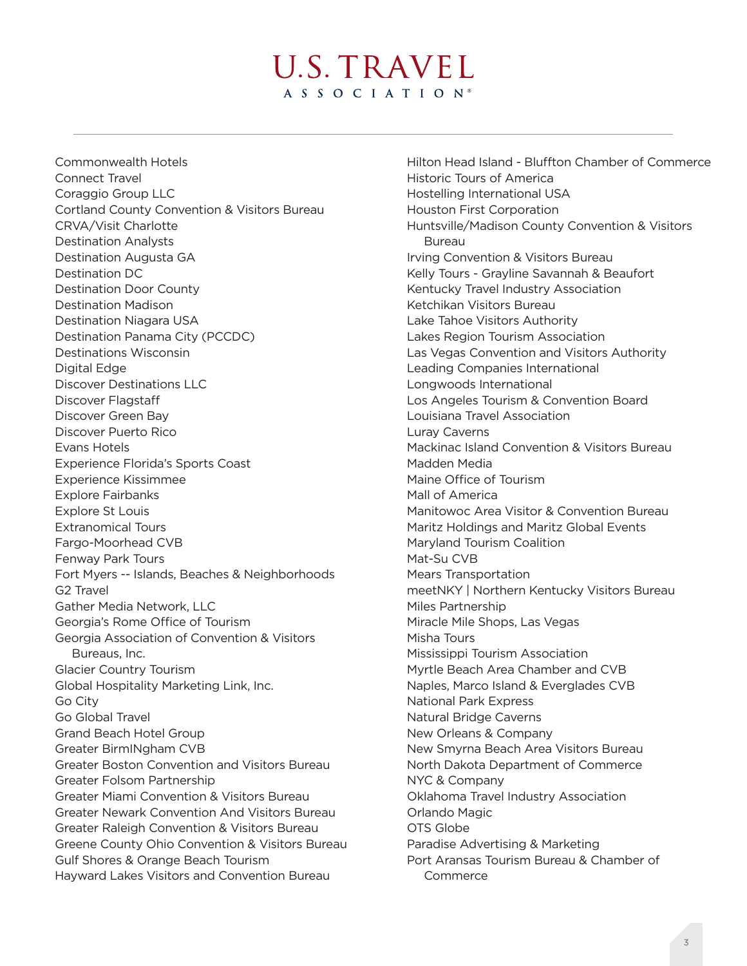# U.S. TRAVEL A S S O C I A T I O N<sup>®</sup>

Commonwealth Hotels Connect Travel Coraggio Group LLC Cortland County Convention & Visitors Bureau CRVA/Visit Charlotte Destination Analysts Destination Augusta GA Destination DC Destination Door County Destination Madison Destination Niagara USA Destination Panama City (PCCDC) Destinations Wisconsin Digital Edge Discover Destinations LLC Discover Flagstaff Discover Green Bay Discover Puerto Rico Evans Hotels Experience Florida's Sports Coast Experience Kissimmee Explore Fairbanks Explore St Louis Extranomical Tours Fargo-Moorhead CVB Fenway Park Tours Fort Myers -- Islands, Beaches & Neighborhoods G2 Travel Gather Media Network, LLC Georgia's Rome Office of Tourism Georgia Association of Convention & Visitors Bureaus, Inc. Glacier Country Tourism Global Hospitality Marketing Link, Inc. Go City Go Global Travel Grand Beach Hotel Group Greater BirmINgham CVB Greater Boston Convention and Visitors Bureau Greater Folsom Partnership Greater Miami Convention & Visitors Bureau Greater Newark Convention And Visitors Bureau Greater Raleigh Convention & Visitors Bureau Greene County Ohio Convention & Visitors Bureau Gulf Shores & Orange Beach Tourism Hayward Lakes Visitors and Convention Bureau

Hilton Head Island - Bluffton Chamber of Commerce Historic Tours of America Hostelling International USA Houston First Corporation Huntsville/Madison County Convention & Visitors Bureau Irving Convention & Visitors Bureau Kelly Tours - Grayline Savannah & Beaufort Kentucky Travel Industry Association Ketchikan Visitors Bureau Lake Tahoe Visitors Authority Lakes Region Tourism Association Las Vegas Convention and Visitors Authority Leading Companies International Longwoods International Los Angeles Tourism & Convention Board Louisiana Travel Association Luray Caverns Mackinac Island Convention & Visitors Bureau Madden Media Maine Office of Tourism Mall of America Manitowoc Area Visitor & Convention Bureau Maritz Holdings and Maritz Global Events Maryland Tourism Coalition Mat-Su CVB Mears Transportation meetNKY | Northern Kentucky Visitors Bureau Miles Partnership Miracle Mile Shops, Las Vegas Misha Tours Mississippi Tourism Association Myrtle Beach Area Chamber and CVB Naples, Marco Island & Everglades CVB National Park Express Natural Bridge Caverns New Orleans & Company New Smyrna Beach Area Visitors Bureau North Dakota Department of Commerce NYC & Company Oklahoma Travel Industry Association Orlando Magic OTS Globe Paradise Advertising & Marketing Port Aransas Tourism Bureau & Chamber of Commerce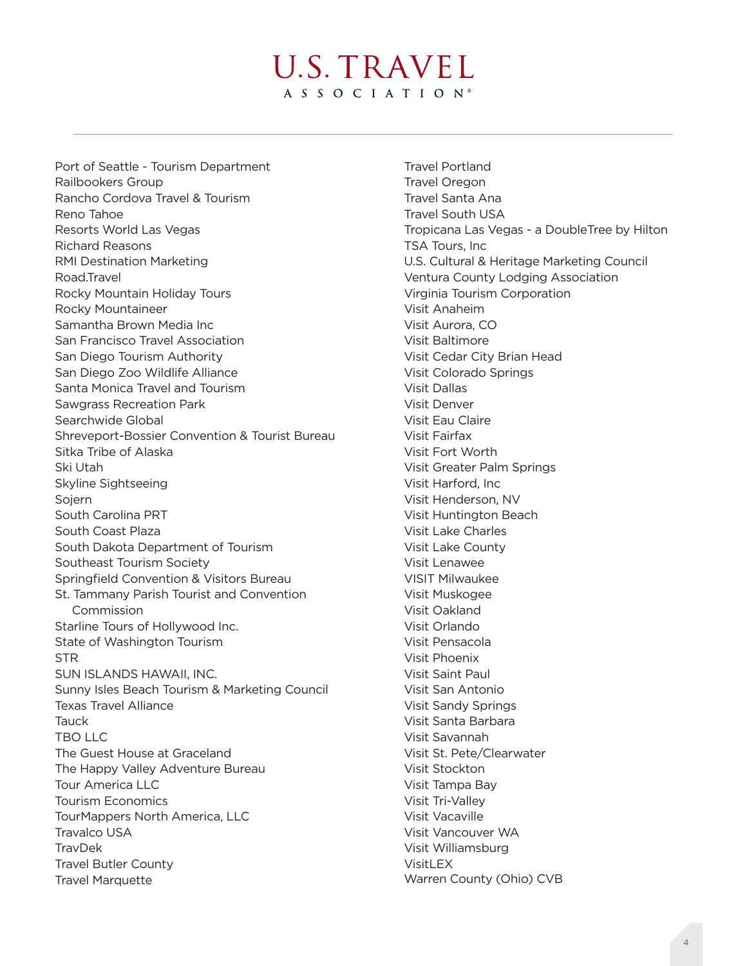U.S. TRAVEL A S S O C I A T I O N<sup>®</sup>

Port of Seattle - Tourism Department Railbookers Group Rancho Cordova Travel & Tourism Reno Tahoe Resorts World Las Vegas Richard Reasons RMI Destination Marketing Road.Travel Rocky Mountain Holiday Tours Rocky Mountaineer Samantha Brown Media Inc San Francisco Travel Association San Diego Tourism Authority San Diego Zoo Wildlife Alliance Santa Monica Travel and Tourism Sawgrass Recreation Park Searchwide Global Shreveport-Bossier Convention & Tourist Bureau Sitka Tribe of Alaska Ski Utah Skyline Sightseeing Sojern South Carolina PRT South Coast Plaza South Dakota Department of Tourism Southeast Tourism Society Springfield Convention & Visitors Bureau St. Tammany Parish Tourist and Convention Commission Starline Tours of Hollywood Inc. State of Washington Tourism **STR** SUN ISLANDS HAWAII, INC. Sunny Isles Beach Tourism & Marketing Council Texas Travel Alliance Tauck TBO LLC The Guest House at Graceland The Happy Valley Adventure Bureau Tour America LLC Tourism Economics TourMappers North America, LLC Travalco USA **TravDek** Travel Butler County Travel Marquette

Travel Portland Travel Oregon Travel Santa Ana Travel South USA Tropicana Las Vegas - a DoubleTree by Hilton TSA Tours, Inc U.S. Cultural & Heritage Marketing Council Ventura County Lodging Association Virginia Tourism Corporation Visit Anaheim Visit Aurora, CO Visit Baltimore Visit Cedar City Brian Head Visit Colorado Springs Visit Dallas Visit Denver Visit Eau Claire Visit Fairfax Visit Fort Worth Visit Greater Palm Springs Visit Harford, Inc Visit Henderson, NV Visit Huntington Beach Visit Lake Charles Visit Lake County Visit Lenawee VISIT Milwaukee Visit Muskogee Visit Oakland Visit Orlando Visit Pensacola Visit Phoenix Visit Saint Paul Visit San Antonio Visit Sandy Springs Visit Santa Barbara Visit Savannah Visit St. Pete/Clearwater Visit Stockton Visit Tampa Bay Visit Tri-Valley Visit Vacaville Visit Vancouver WA Visit Williamsburg VisitLEX Warren County (Ohio) CVB